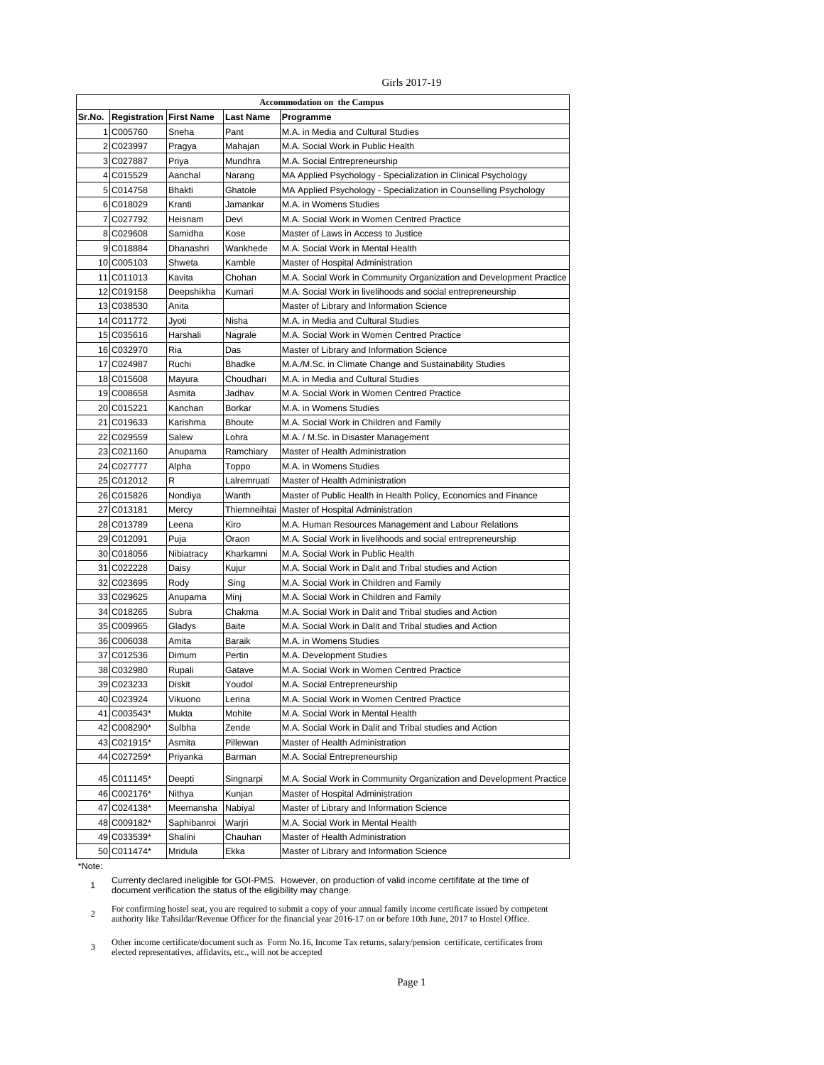Girls 2017-19

| <b>Accommodation on the Campus</b> |                                |               |                  |                                                                     |  |
|------------------------------------|--------------------------------|---------------|------------------|---------------------------------------------------------------------|--|
| Sr.No.                             | <b>Registration First Name</b> |               | <b>Last Name</b> | Programme                                                           |  |
|                                    | 1 C005760                      | Sneha         | Pant             | M.A. in Media and Cultural Studies                                  |  |
|                                    | 2 C023997                      | Pragya        | Mahajan          | M.A. Social Work in Public Health                                   |  |
|                                    | 3 C027887                      | Priya         | Mundhra          | M.A. Social Entrepreneurship                                        |  |
|                                    | 4 C015529                      | Aanchal       | Narang           | MA Applied Psychology - Specialization in Clinical Psychology       |  |
|                                    | 5 C014758                      | <b>Bhakti</b> | Ghatole          | MA Applied Psychology - Specialization in Counselling Psychology    |  |
|                                    | 6 C018029                      | Kranti        | Jamankar         | M.A. in Womens Studies                                              |  |
|                                    | 7 C027792                      | Heisnam       | Devi             | M.A. Social Work in Women Centred Practice                          |  |
|                                    | 8 C029608                      | Samidha       | Kose             | Master of Laws in Access to Justice                                 |  |
|                                    | 9 C018884                      | Dhanashri     | Wankhede         | M.A. Social Work in Mental Health                                   |  |
|                                    | 10 C005103                     | Shweta        | Kamble           | Master of Hospital Administration                                   |  |
|                                    | 11 C011013                     | Kavita        | Chohan           | M.A. Social Work in Community Organization and Development Practice |  |
|                                    | 12 C019158                     | Deepshikha    | Kumari           | M.A. Social Work in livelihoods and social entrepreneurship         |  |
|                                    | 13 C038530                     | Anita         |                  | Master of Library and Information Science                           |  |
|                                    | 14 C011772                     | Jyoti         | Nisha            | M.A. in Media and Cultural Studies                                  |  |
|                                    | 15 C035616                     | Harshali      | Nagrale          | M.A. Social Work in Women Centred Practice                          |  |
|                                    | 16 C032970                     | Ria           | Das              | Master of Library and Information Science                           |  |
|                                    | 17 C024987                     | Ruchi         | <b>Bhadke</b>    | M.A./M.Sc. in Climate Change and Sustainability Studies             |  |
|                                    | 18 C015608                     | Mayura        | Choudhari        | M.A. in Media and Cultural Studies                                  |  |
|                                    | 19 C008658                     | Asmita        | Jadhav           | M.A. Social Work in Women Centred Practice                          |  |
|                                    | 20 C015221                     | Kanchan       | Borkar           | M.A. in Womens Studies                                              |  |
|                                    | 21 C019633                     | Karishma      | <b>Bhoute</b>    | M.A. Social Work in Children and Family                             |  |
|                                    | 22 C029559                     | Salew         | Lohra            | M.A. / M.Sc. in Disaster Management                                 |  |
|                                    | 23 C021160                     | Anupama       | Ramchiary        | Master of Health Administration                                     |  |
|                                    | 24 C027777                     | Alpha         | Toppo            | M.A. in Womens Studies                                              |  |
|                                    | 25 C012012                     | R             | Lalremruati      | Master of Health Administration                                     |  |
|                                    | 26 C015826                     | Nondiya       | Wanth            | Master of Public Health in Health Policy, Economics and Finance     |  |
|                                    | 27 C013181                     | Mercy         | Thiemneihtai     | Master of Hospital Administration                                   |  |
|                                    | 28 C013789                     | Leena         | Kiro             | M.A. Human Resources Management and Labour Relations                |  |
|                                    | 29 C012091                     | Puja          | Oraon            | M.A. Social Work in livelihoods and social entrepreneurship         |  |
|                                    | 30 C018056                     | Nibiatracy    | Kharkamni        | M.A. Social Work in Public Health                                   |  |
|                                    | 31 C022228                     | Daisy         | Kujur            | M.A. Social Work in Dalit and Tribal studies and Action             |  |
|                                    | 32 C023695                     | Rody          | Sing             | M.A. Social Work in Children and Family                             |  |
|                                    | 33 C029625                     | Anupama       | Minj             | M.A. Social Work in Children and Family                             |  |
|                                    | 34 C018265                     | Subra         | Chakma           | M.A. Social Work in Dalit and Tribal studies and Action             |  |
|                                    | 35 C009965                     | Gladys        | Baite            | M.A. Social Work in Dalit and Tribal studies and Action             |  |
|                                    | 36 C006038                     | Amita         | Baraik           | M.A. in Womens Studies                                              |  |
|                                    | 37 C012536                     | Dimum         | Pertin           | M.A. Development Studies                                            |  |
|                                    | 38 C032980                     | Rupali        | Gatave           | M.A. Social Work in Women Centred Practice                          |  |
|                                    | 39 C023233                     | <b>Diskit</b> | Youdol           | M.A. Social Entrepreneurship                                        |  |
|                                    | 40 C023924                     | Vikuono       | Lerina           | M.A. Social Work in Women Centred Practice                          |  |
|                                    | 41 C003543*                    | Mukta         | Mohite           | M.A. Social Work in Mental Health                                   |  |
|                                    | 42 C008290*                    | Sulbha        | Zende            | M.A. Social Work in Dalit and Tribal studies and Action             |  |
|                                    | 43 C021915*                    | Asmita        | Pillewan         | Master of Health Administration                                     |  |
|                                    | 44 C027259*                    | Priyanka      | Barman           | M.A. Social Entrepreneurship                                        |  |
|                                    |                                |               |                  |                                                                     |  |
|                                    | 45 C011145*                    | Deepti        | Singnarpi        | M.A. Social Work in Community Organization and Development Practice |  |
|                                    | 46 C002176*                    | Nithya        | Kunjan           | Master of Hospital Administration                                   |  |
|                                    | 47 C024138*                    | Meemansha     | Nabiyal          | Master of Library and Information Science                           |  |
|                                    | 48 C009182*                    | Saphibanroi   | Warjri           | M.A. Social Work in Mental Health                                   |  |
|                                    | 49 C033539*                    | Shalini       | Chauhan          | Master of Health Administration                                     |  |
|                                    | 50 C011474*                    | Mridula       | Ekka             | Master of Library and Information Science                           |  |

## \*Note:

 Currenty declared ineligible for GOI-PMS. However, on production of valid income certififate at the time of document verification the status of the eligibility may change.

 For confirming hostel seat, you are required to submit a copy of your annual family income certificate issued by competent<br>authority like Tahsildar/Revenue Officer for the financial year 2016-17 on or before 10th June, 201

 Other income certificate/document such as Form No.16, Income Tax returns, salary/pension certificate, certificates from elected representatives, affidavits, etc., will not be accepted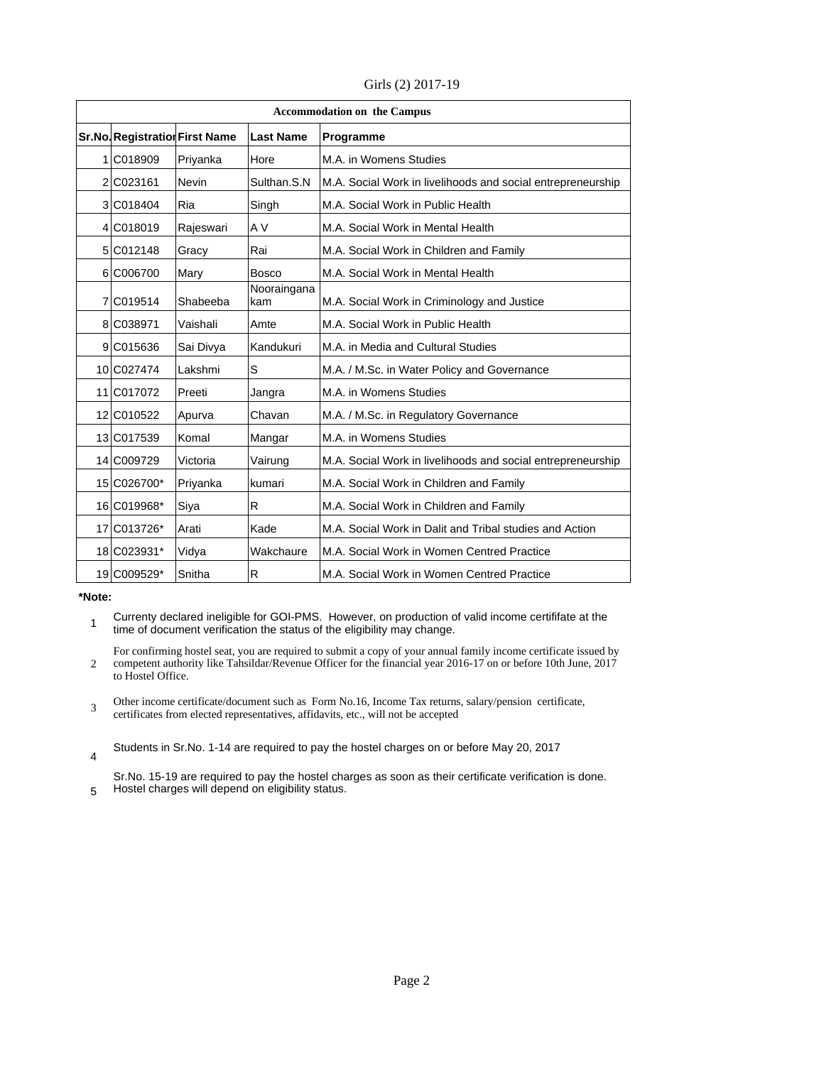|  |  | Girls (2) 2017-19 |
|--|--|-------------------|
|--|--|-------------------|

| <b>Accommodation on the Campus</b> |                                |           |                    |                                                             |
|------------------------------------|--------------------------------|-----------|--------------------|-------------------------------------------------------------|
|                                    | Sr.No. Registration First Name |           | <b>Last Name</b>   | Programme                                                   |
|                                    | 1 C018909                      | Priyanka  | Hore               | M.A. in Womens Studies                                      |
|                                    | 2 C023161                      | Nevin     | Sulthan.S.N        | M.A. Social Work in livelihoods and social entrepreneurship |
|                                    | 3 C018404                      | Ria       | Singh              | M.A. Social Work in Public Health                           |
|                                    | 4 C018019                      | Rajeswari | A V                | M.A. Social Work in Mental Health                           |
|                                    | 5 C012148                      | Gracy     | Rai                | M.A. Social Work in Children and Family                     |
|                                    | 6 C006700                      | Mary      | <b>Bosco</b>       | M.A. Social Work in Mental Health                           |
|                                    | 7 C019514                      | Shabeeba  | Nooraingana<br>kam | M.A. Social Work in Criminology and Justice                 |
|                                    | 8 C038971                      | Vaishali  | Amte               | M.A. Social Work in Public Health                           |
|                                    | 9 C015636                      | Sai Divya | Kandukuri          | M.A. in Media and Cultural Studies                          |
|                                    | 10 C027474                     | Lakshmi   | S                  | M.A. / M.Sc. in Water Policy and Governance                 |
|                                    | 11 C017072                     | Preeti    | Jangra             | M.A. in Womens Studies                                      |
|                                    | 12 C010522                     | Apurva    | Chavan             | M.A. / M.Sc. in Regulatory Governance                       |
|                                    | 13 C017539                     | Komal     | Mangar             | M.A. in Womens Studies                                      |
|                                    | 14 C009729                     | Victoria  | Vairung            | M.A. Social Work in livelihoods and social entrepreneurship |
|                                    | 15 C026700*                    | Priyanka  | kumari             | M.A. Social Work in Children and Family                     |
|                                    | 16 C019968*                    | Siya      | R                  | M.A. Social Work in Children and Family                     |
|                                    | 17 C013726*                    | Arati     | Kade               | M.A. Social Work in Dalit and Tribal studies and Action     |
|                                    | 18 C023931*                    | Vidya     | Wakchaure          | M.A. Social Work in Women Centred Practice                  |
|                                    | 19 C009529*                    | Snitha    | R                  | M.A. Social Work in Women Centred Practice                  |

**\*Note:**

1 Currenty declared ineligible for GOI-PMS. However, on production of valid income certififate at the time of document verification the status of the eligibility may change.

2 For confirming hostel seat, you are required to submit a copy of your annual family income certificate issued by competent authority like Tahsildar/Revenue Officer for the financial year 2016-17 on or before 10th June, 2017 to Hostel Office.

- 3 Other income certificate/document such as Form No.16, Income Tax returns, salary/pension certificate,
- certificates from elected representatives, affidavits, etc., will not be accepted
- 4 Students in Sr.No. 1-14 are required to pay the hostel charges on or before May 20, 2017

5 Sr.No. 15-19 are required to pay the hostel charges as soon as their certificate verification is done. Hostel charges will depend on eligibility status.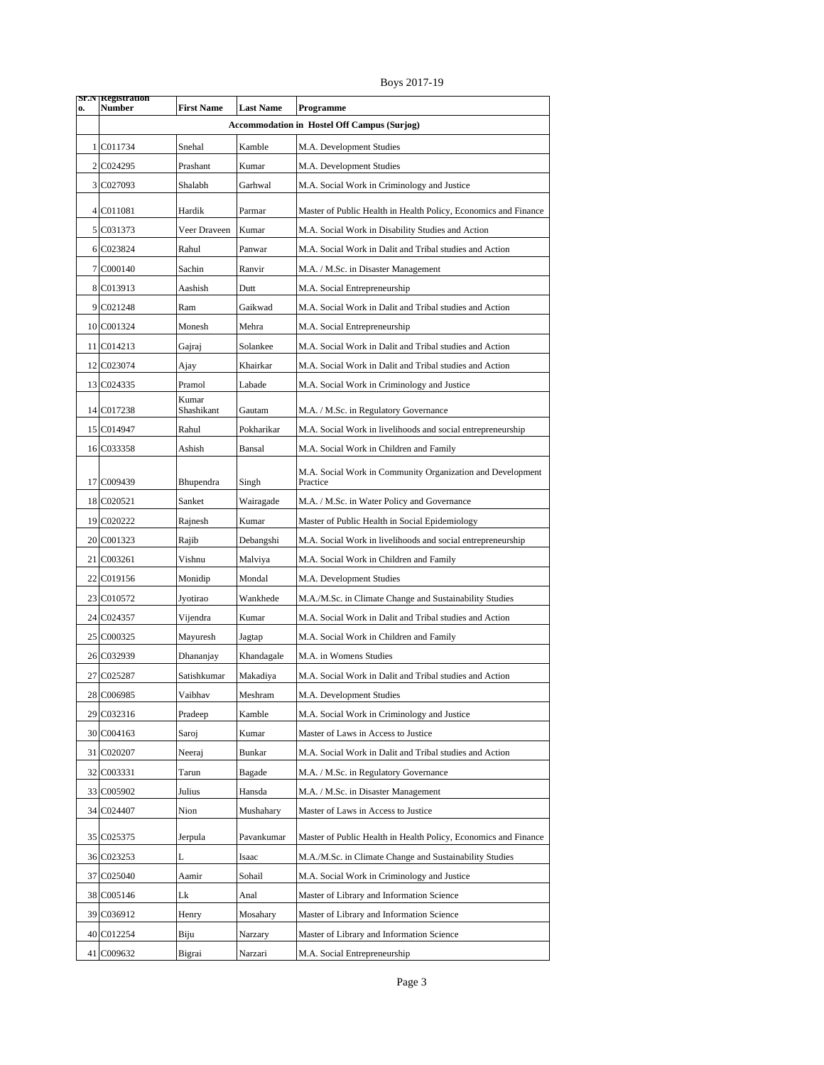Boys 2017-19

| 0. | Sr.N Registration<br>Number | <b>First Name</b>   | <b>Last Name</b> | Programme                                                              |
|----|-----------------------------|---------------------|------------------|------------------------------------------------------------------------|
|    |                             |                     |                  | <b>Accommodation in Hostel Off Campus (Surjog)</b>                     |
|    | 1 C011734                   | Snehal              | Kamble           | M.A. Development Studies                                               |
|    | 2 C024295                   | Prashant            | Kumar            | M.A. Development Studies                                               |
|    | 3 C027093                   | Shalabh             | Garhwal          | M.A. Social Work in Criminology and Justice                            |
|    | 4 C011081                   | Hardik              | Parmar           | Master of Public Health in Health Policy, Economics and Finance        |
|    | 5 C031373                   | Veer Draveen        | Kumar            | M.A. Social Work in Disability Studies and Action                      |
|    | 6 C023824                   | Rahul               | Panwar           | M.A. Social Work in Dalit and Tribal studies and Action                |
|    | 7 C000140                   | Sachin              | Ranvir           | M.A. / M.Sc. in Disaster Management                                    |
|    | 8 C013913                   | Aashish             | Dutt             | M.A. Social Entrepreneurship                                           |
|    | 9 C021248                   | Ram                 | Gaikwad          | M.A. Social Work in Dalit and Tribal studies and Action                |
|    | 10 C001324                  | Monesh              | Mehra            | M.A. Social Entrepreneurship                                           |
|    | 11 C014213                  | Gajraj              | Solankee         | M.A. Social Work in Dalit and Tribal studies and Action                |
|    | 12 C023074                  | Ajay                | Khairkar         | M.A. Social Work in Dalit and Tribal studies and Action                |
|    | 13 C024335                  | Pramol              | Labade           | M.A. Social Work in Criminology and Justice                            |
|    | 14 C017238                  | Kumar<br>Shashikant | Gautam           | M.A. / M.Sc. in Regulatory Governance                                  |
|    | 15 C014947                  | Rahul               | Pokharikar       | M.A. Social Work in livelihoods and social entrepreneurship            |
|    | 16 C033358                  | Ashish              | Bansal           | M.A. Social Work in Children and Family                                |
|    |                             |                     |                  |                                                                        |
|    | 17 C009439                  | Bhupendra           | Singh            | M.A. Social Work in Community Organization and Development<br>Practice |
|    | 18 C020521                  | Sanket              | Wairagade        | M.A. / M.Sc. in Water Policy and Governance                            |
|    | 19 C020222                  | Rajnesh             | Kumar            | Master of Public Health in Social Epidemiology                         |
|    | 20 C001323                  | Rajib               | Debangshi        | M.A. Social Work in livelihoods and social entrepreneurship            |
|    | 21 C003261                  | Vishnu              | Malviya          | M.A. Social Work in Children and Family                                |
|    | 22 C019156                  | Monidip             | Mondal           | M.A. Development Studies                                               |
|    | 23 C010572                  | Jyotirao            | Wankhede         | M.A./M.Sc. in Climate Change and Sustainability Studies                |
|    | 24 C024357                  | Vijendra            | Kumar            | M.A. Social Work in Dalit and Tribal studies and Action                |
|    | 25 C000325                  | Mayuresh            | Jagtap           | M.A. Social Work in Children and Family                                |
|    | 26 C032939                  | Dhananjay           | Khandagale       | M.A. in Womens Studies                                                 |
|    | 27 C025287                  | Satishkumar         | Makadiya         | M.A. Social Work in Dalit and Tribal studies and Action                |
|    | 28 C006985                  | Vaibhav             | Meshram          | M.A. Development Studies                                               |
|    | 29 C032316                  | Pradeep             | Kamble           | M.A. Social Work in Criminology and Justice                            |
|    | 30 C004163                  | Saroj               | Kumar            | Master of Laws in Access to Justice                                    |
|    | 31 C020207                  | Neeraj              | <b>Bunkar</b>    | M.A. Social Work in Dalit and Tribal studies and Action                |
|    | 32 C003331                  | Tarun               | Bagade           | M.A. / M.Sc. in Regulatory Governance                                  |
|    | 33 C005902                  | Julius              | Hansda           | M.A. / M.Sc. in Disaster Management                                    |
|    | 34 C024407                  | Nion                | Mushahary        | Master of Laws in Access to Justice                                    |
|    | 35 C025375                  | Jerpula             | Pavankumar       | Master of Public Health in Health Policy, Economics and Finance        |
|    | 36 C023253                  | L                   | Isaac            | M.A./M.Sc. in Climate Change and Sustainability Studies                |
|    | 37 C025040                  | Aamir               | Sohail           | M.A. Social Work in Criminology and Justice                            |
|    | 38 C005146                  | Lk                  | Anal             | Master of Library and Information Science                              |
|    | 39 C036912                  | Henry               | Mosahary         | Master of Library and Information Science                              |
|    | 40 C012254                  | Biju                | Narzary          | Master of Library and Information Science                              |
|    | 41 C009632                  | Bigrai              | Narzari          | M.A. Social Entrepreneurship                                           |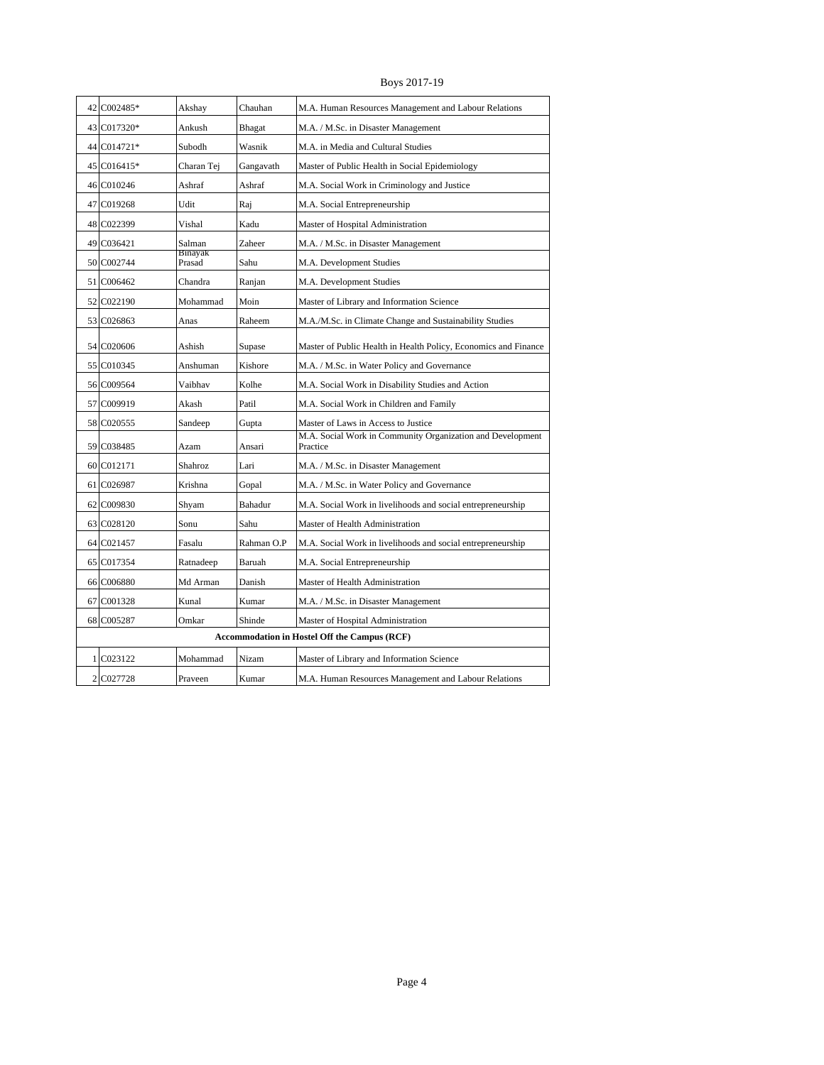Boys 2017-19

| 42 C002485*                                         | Akshay            | Chauhan    | M.A. Human Resources Management and Labour Relations                   |  |  |
|-----------------------------------------------------|-------------------|------------|------------------------------------------------------------------------|--|--|
| 43 C017320*                                         | Ankush            | Bhagat     | M.A. / M.Sc. in Disaster Management                                    |  |  |
| 44 C014721*                                         | Subodh            | Wasnik     | M.A. in Media and Cultural Studies                                     |  |  |
| 45 C016415*                                         | Charan Tej        | Gangavath  | Master of Public Health in Social Epidemiology                         |  |  |
| 46 C010246                                          | Ashraf            | Ashraf     | M.A. Social Work in Criminology and Justice                            |  |  |
| 47 C019268                                          | Udit              | Raj        | M.A. Social Entrepreneurship                                           |  |  |
| 48 C022399                                          | Vishal            | Kadu       | Master of Hospital Administration                                      |  |  |
| 49 C036421                                          | Salman            | Zaheer     | M.A. / M.Sc. in Disaster Management                                    |  |  |
| 50 C002744                                          | Binayak<br>Prasad | Sahu       | M.A. Development Studies                                               |  |  |
| 51 C006462                                          | Chandra           | Ranjan     | M.A. Development Studies                                               |  |  |
| 52 C022190                                          | Mohammad          | Moin       | Master of Library and Information Science                              |  |  |
| 53 C026863                                          | Anas              | Raheem     | M.A./M.Sc. in Climate Change and Sustainability Studies                |  |  |
| 54 C020606                                          | Ashish            | Supase     | Master of Public Health in Health Policy, Economics and Finance        |  |  |
| 55 C010345                                          | Anshuman          | Kishore    | M.A. / M.Sc. in Water Policy and Governance                            |  |  |
| 56 C009564                                          | Vaibhav           | Kolhe      | M.A. Social Work in Disability Studies and Action                      |  |  |
| 57 C009919                                          | Akash             | Patil      | M.A. Social Work in Children and Family                                |  |  |
| 58 C020555                                          | Sandeep           | Gupta      | Master of Laws in Access to Justice                                    |  |  |
| 59 C038485                                          | Azam              | Ansari     | M.A. Social Work in Community Organization and Development<br>Practice |  |  |
| 60 C012171                                          | Shahroz           | Lari       | M.A. / M.Sc. in Disaster Management                                    |  |  |
| 61 C026987                                          | Krishna           | Gopal      | M.A. / M.Sc. in Water Policy and Governance                            |  |  |
| 62 C009830                                          | Shvam             | Bahadur    | M.A. Social Work in livelihoods and social entrepreneurship            |  |  |
| 63 C028120                                          | Sonu              | Sahu       | Master of Health Administration                                        |  |  |
| 64 C021457                                          | Fasalu            | Rahman O.P | M.A. Social Work in livelihoods and social entrepreneurship            |  |  |
| 65 C017354                                          | Ratnadeep         | Baruah     | M.A. Social Entrepreneurship                                           |  |  |
| 66 C006880                                          | Md Arman          | Danish     | Master of Health Administration                                        |  |  |
| 67 C001328                                          | Kunal             | Kumar      | M.A. / M.Sc. in Disaster Management                                    |  |  |
| 68 C005287                                          | Omkar             | Shinde     | Master of Hospital Administration                                      |  |  |
| <b>Accommodation in Hostel Off the Campus (RCF)</b> |                   |            |                                                                        |  |  |
| 1 C023122                                           | Mohammad          | Nizam      | Master of Library and Information Science                              |  |  |
| 2 C027728                                           | Praveen           | Kumar      | M.A. Human Resources Management and Labour Relations                   |  |  |